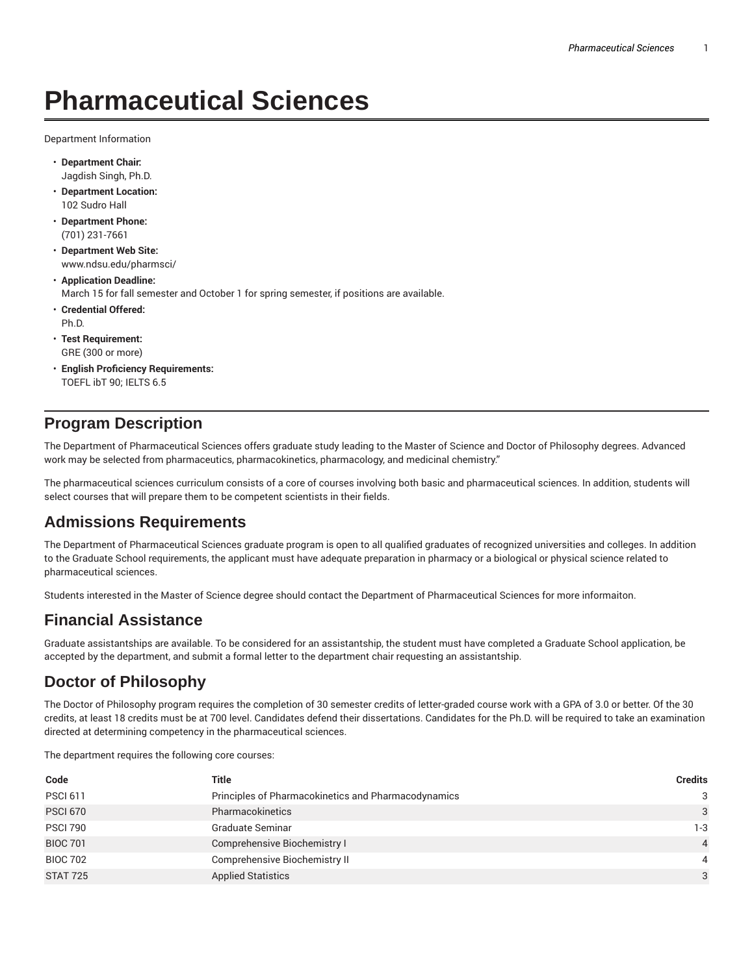# **Pharmaceutical Sciences**

Department Information

- **Department Chair:** Jagdish Singh, Ph.D.
- **Department Location:** 102 Sudro Hall
- **Department Phone:** (701) 231-7661
- **Department Web Site:** www.ndsu.edu/pharmsci/
- **Application Deadline:** March 15 for fall semester and October 1 for spring semester, if positions are available.
- **Credential Offered:** Ph.D.
- **Test Requirement:** GRE (300 or more)
- **English Proficiency Requirements:** TOEFL ibT 90; IELTS 6.5

### **Program Description**

The Department of Pharmaceutical Sciences offers graduate study leading to the Master of Science and Doctor of Philosophy degrees. Advanced work may be selected from pharmaceutics, pharmacokinetics, pharmacology, and medicinal chemistry."

The pharmaceutical sciences curriculum consists of a core of courses involving both basic and pharmaceutical sciences. In addition, students will select courses that will prepare them to be competent scientists in their fields.

## **Admissions Requirements**

The Department of Pharmaceutical Sciences graduate program is open to all qualified graduates of recognized universities and colleges. In addition to the Graduate School requirements, the applicant must have adequate preparation in pharmacy or a biological or physical science related to pharmaceutical sciences.

Students interested in the Master of Science degree should contact the Department of Pharmaceutical Sciences for more informaiton.

## **Financial Assistance**

Graduate assistantships are available. To be considered for an assistantship, the student must have completed a Graduate School application, be accepted by the department, and submit a formal letter to the department chair requesting an assistantship.

## **Doctor of Philosophy**

The Doctor of Philosophy program requires the completion of 30 semester credits of letter-graded course work with a GPA of 3.0 or better. Of the 30 credits, at least 18 credits must be at 700 level. Candidates defend their dissertations. Candidates for the Ph.D. will be required to take an examination directed at determining competency in the pharmaceutical sciences.

The department requires the following core courses:

| Code            | <b>Title</b>                                        | <b>Credits</b> |
|-----------------|-----------------------------------------------------|----------------|
| <b>PSCI 611</b> | Principles of Pharmacokinetics and Pharmacodynamics | 3              |
| <b>PSCI 670</b> | Pharmacokinetics                                    | 3              |
| <b>PSCI 790</b> | <b>Graduate Seminar</b>                             | 1-3            |
| <b>BIOC 701</b> | Comprehensive Biochemistry I                        | $\overline{4}$ |
| <b>BIOC 702</b> | Comprehensive Biochemistry II                       | 4              |
| <b>STAT 725</b> | <b>Applied Statistics</b>                           | 3              |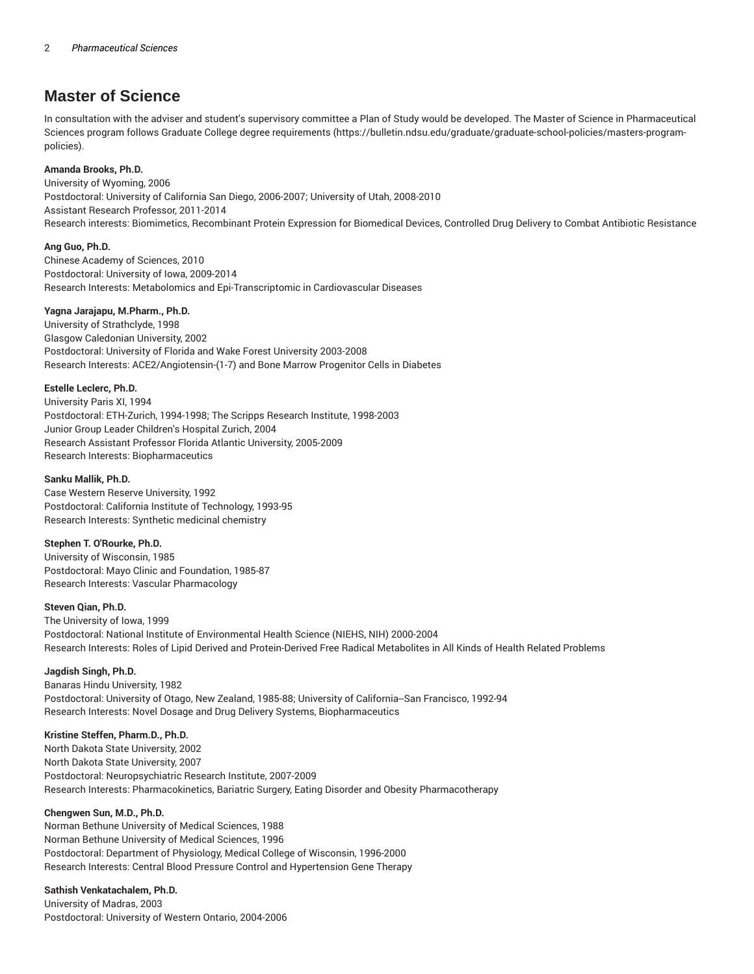### **Master of Science**

In consultation with the adviser and student's supervisory committee a Plan of Study would be developed. The Master of Science in Pharmaceutical Sciences program follows Graduate College degree requirements (https://bulletin.ndsu.edu/graduate/graduate-school-policies/masters-programpolicies).

#### **Amanda Brooks, Ph.D.**

University of Wyoming, 2006 Postdoctoral: University of California San Diego, 2006-2007; University of Utah, 2008-2010 Assistant Research Professor, 2011-2014 Research interests: Biomimetics, Recombinant Protein Expression for Biomedical Devices, Controlled Drug Delivery to Combat Antibiotic Resistance

#### **Ang Guo, Ph.D.**

Chinese Academy of Sciences, 2010 Postdoctoral: University of Iowa, 2009-2014 Research Interests: Metabolomics and Epi-Transcriptomic in Cardiovascular Diseases

#### **Yagna Jarajapu, M.Pharm., Ph.D.**

University of Strathclyde, 1998 Glasgow Caledonian University, 2002 Postdoctoral: University of Florida and Wake Forest University 2003-2008 Research Interests: ACE2/Angiotensin-(1-7) and Bone Marrow Progenitor Cells in Diabetes

#### **Estelle Leclerc, Ph.D.**

University Paris XI, 1994 Postdoctoral: ETH-Zurich, 1994-1998; The Scripps Research Institute, 1998-2003 Junior Group Leader Children's Hospital Zurich, 2004 Research Assistant Professor Florida Atlantic University, 2005-2009 Research Interests: Biopharmaceutics

#### **Sanku Mallik, Ph.D.**

Case Western Reserve University, 1992 Postdoctoral: California Institute of Technology, 1993-95 Research Interests: Synthetic medicinal chemistry

#### **Stephen T. O'Rourke, Ph.D.**

University of Wisconsin, 1985 Postdoctoral: Mayo Clinic and Foundation, 1985-87 Research Interests: Vascular Pharmacology

#### **Steven Qian, Ph.D.**

The University of Iowa, 1999 Postdoctoral: National Institute of Environmental Health Science (NIEHS, NIH) 2000-2004 Research Interests: Roles of Lipid Derived and Protein-Derived Free Radical Metabolites in All Kinds of Health Related Problems

#### **Jagdish Singh, Ph.D.**

Banaras Hindu University, 1982 Postdoctoral: University of Otago, New Zealand, 1985-88; University of California--San Francisco, 1992-94 Research Interests: Novel Dosage and Drug Delivery Systems, Biopharmaceutics

#### **Kristine Steffen, Pharm.D., Ph.D.**

North Dakota State University, 2002 North Dakota State University, 2007 Postdoctoral: Neuropsychiatric Research Institute, 2007-2009 Research Interests: Pharmacokinetics, Bariatric Surgery, Eating Disorder and Obesity Pharmacotherapy

#### **Chengwen Sun, M.D., Ph.D.**

Norman Bethune University of Medical Sciences, 1988 Norman Bethune University of Medical Sciences, 1996 Postdoctoral: Department of Physiology, Medical College of Wisconsin, 1996-2000 Research Interests: Central Blood Pressure Control and Hypertension Gene Therapy

#### **Sathish Venkatachalem, Ph.D.**

University of Madras, 2003 Postdoctoral: University of Western Ontario, 2004-2006